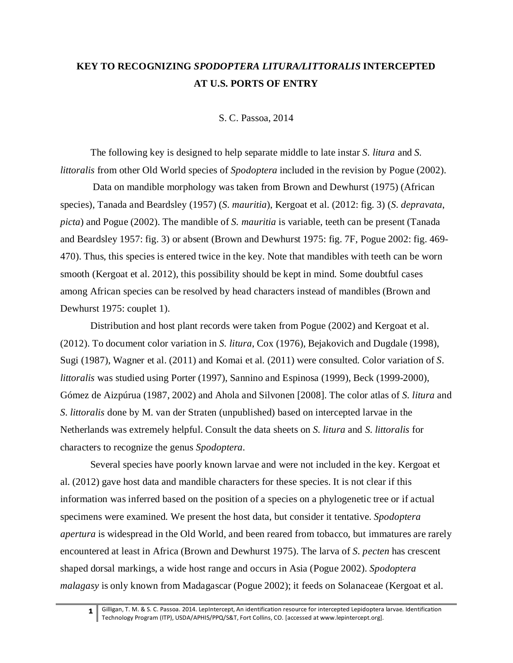## **KEY TO RECOGNIZING** *SPODOPTERA LITURA/LITTORALIS* **INTERCEPTED AT U.S. PORTS OF ENTRY**

S. C. Passoa, 2014

The following key is designed to help separate middle to late instar *S. litura* and *S. littoralis* from other Old World species of *Spodoptera* included in the revision by Pogue (2002).

Data on mandible morphology was taken from Brown and Dewhurst (1975) (African species), Tanada and Beardsley (1957) (*S. mauritia*), Kergoat et al. (2012: fig. 3) (*S. depravata*, *picta*) and Pogue (2002). The mandible of *S. mauritia* is variable, teeth can be present (Tanada and Beardsley 1957: fig. 3) or absent (Brown and Dewhurst 1975: fig. 7F, Pogue 2002: fig. 469- 470). Thus, this species is entered twice in the key. Note that mandibles with teeth can be worn smooth (Kergoat et al. 2012), this possibility should be kept in mind. Some doubtful cases among African species can be resolved by head characters instead of mandibles (Brown and Dewhurst 1975: couplet 1).

Distribution and host plant records were taken from Pogue (2002) and Kergoat et al. (2012). To document color variation in *S. litura*, Cox (1976), Bejakovich and Dugdale (1998), Sugi (1987), Wagner et al. (2011) and Komai et al. (2011) were consulted. Color variation of *S*. *littoralis* was studied using Porter (1997), Sannino and Espinosa (1999), Beck (1999-2000), Gómez de Aizpúrua (1987, 2002) and Ahola and Silvonen [2008]. The color atlas of *S. litura* and *S. littoralis* done by M. van der Straten (unpublished) based on intercepted larvae in the Netherlands was extremely helpful. Consult the data sheets on *S. litura* and *S. littoralis* for characters to recognize the genus *Spodoptera*.

Several species have poorly known larvae and were not included in the key. Kergoat et al. (2012) gave host data and mandible characters for these species. It is not clear if this information was inferred based on the position of a species on a phylogenetic tree or if actual specimens were examined. We present the host data, but consider it tentative. *Spodoptera apertura* is widespread in the Old World, and been reared from tobacco, but immatures are rarely encountered at least in Africa (Brown and Dewhurst 1975). The larva of *S. pecten* has crescent shaped dorsal markings, a wide host range and occurs in Asia (Pogue 2002). *Spodoptera malagasy* is only known from Madagascar (Pogue 2002); it feeds on Solanaceae (Kergoat et al.

**1** Gilligan, T. M. & S. C. Passoa. 2014. LepIntercept, An identification resource for intercepted Lepidoptera larvae. Identification Technology Program (ITP), USDA/APHIS/PPQ/S&T, Fort Collins, CO. [accessed at www.lepintercept.org].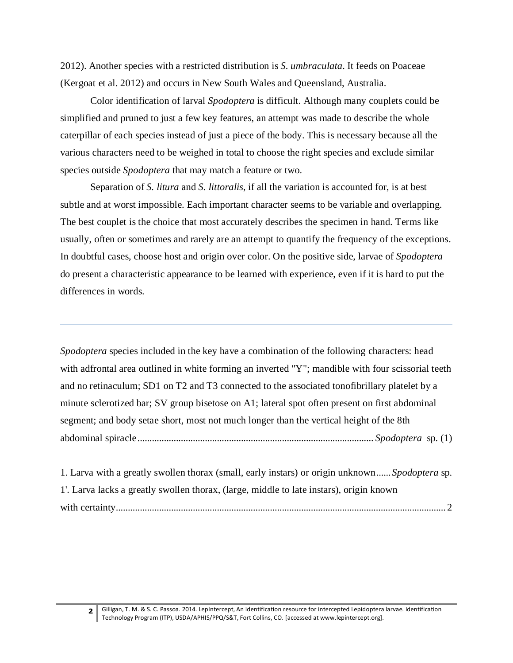2012). Another species with a restricted distribution is *S. umbraculata*. It feeds on Poaceae (Kergoat et al. 2012) and occurs in New South Wales and Queensland, Australia.

Color identification of larval *Spodoptera* is difficult. Although many couplets could be simplified and pruned to just a few key features, an attempt was made to describe the whole caterpillar of each species instead of just a piece of the body. This is necessary because all the various characters need to be weighed in total to choose the right species and exclude similar species outside *Spodoptera* that may match a feature or two.

Separation of *S. litura* and *S. littoralis*, if all the variation is accounted for, is at best subtle and at worst impossible. Each important character seems to be variable and overlapping. The best couplet is the choice that most accurately describes the specimen in hand. Terms like usually, often or sometimes and rarely are an attempt to quantify the frequency of the exceptions. In doubtful cases, choose host and origin over color. On the positive side, larvae of *Spodoptera* do present a characteristic appearance to be learned with experience, even if it is hard to put the differences in words.

*Spodoptera* species included in the key have a combination of the following characters: head with adfrontal area outlined in white forming an inverted "Y"; mandible with four scissorial teeth and no retinaculum; SD1 on T2 and T3 connected to the associated tonofibrillary platelet by a minute sclerotized bar; SV group bisetose on A1; lateral spot often present on first abdominal segment; and body setae short, most not much longer than the vertical height of the 8th abdominal spiracle.................................................................................................. *Spodoptera* sp. (1)

1. Larva with a greatly swollen thorax (small, early instars) or origin unknown......*Spodoptera* sp. 1'. Larva lacks a greatly swollen thorax, (large, middle to late instars), origin known with certainty......................................................................................................................................... 2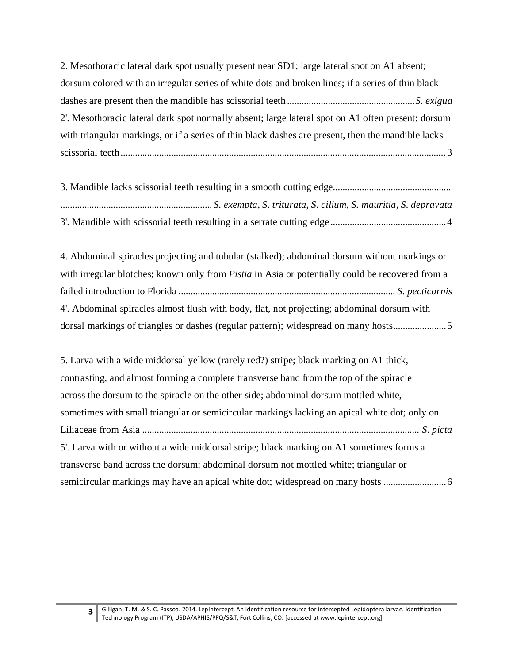2. Mesothoracic lateral dark spot usually present near SD1; large lateral spot on A1 absent; dorsum colored with an irregular series of white dots and broken lines; if a series of thin black dashes are present then the mandible has scissorial teeth .....................................................*S. exigua* 2'. Mesothoracic lateral dark spot normally absent; large lateral spot on A1 often present; dorsum with triangular markings, or if a series of thin black dashes are present, then the mandible lacks scissorial teeth....................................................................................................................................... 3

3. Mandible lacks scissorial teeth resulting in a smooth cutting edge................................................. ............................................................... *S. exempta*, *S. triturata*, *S. cilium, S. mauritia, S. depravata* 3'. Mandible with scissorial teeth resulting in a serrate cutting edge ................................................4

4. Abdominal spiracles projecting and tubular (stalked); abdominal dorsum without markings or with irregular blotches; known only from *Pistia* in Asia or potentially could be recovered from a failed introduction to Florida .......................................................................................... *S. pecticornis* 4'. Abdominal spiracles almost flush with body, flat, not projecting; abdominal dorsum with dorsal markings of triangles or dashes (regular pattern); widespread on many hosts............................

5. Larva with a wide middorsal yellow (rarely red?) stripe; black marking on A1 thick, contrasting, and almost forming a complete transverse band from the top of the spiracle across the dorsum to the spiracle on the other side; abdominal dorsum mottled white, sometimes with small triangular or semicircular markings lacking an apical white dot; only on Liliaceae from Asia ................................................................................................................... *S. picta*  5'. Larva with or without a wide middorsal stripe; black marking on A1 sometimes forms a transverse band across the dorsum; abdominal dorsum not mottled white; triangular or semicircular markings may have an apical white dot; widespread on many hosts .................................